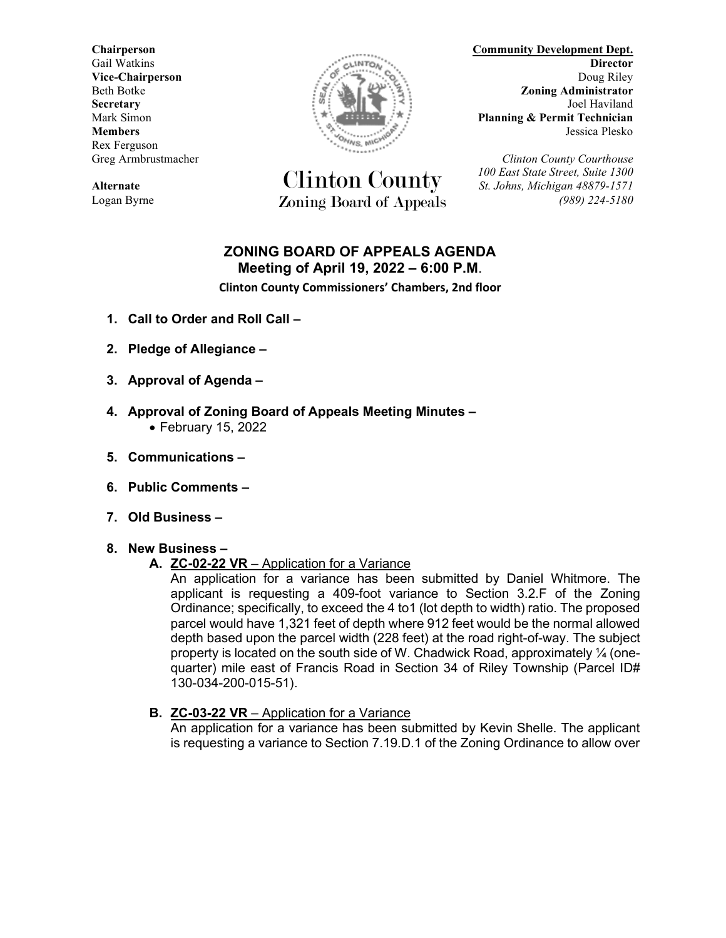Rex Ferguson



Clinton County *100 East State Street, Suite 1300* **Alternate** *St. Johns, Michigan 48879-1571* Logan Byrne Zoning Board of Appeals *(989) 224-5180*

**Chairperson Community Development Dept.** Gail Watkins **Director Director CALLINTON CALLINTON Director Vice-Chairperson** Doug Riley Beth Botke **Zoning Administrator Secretary** Joel Haviland **Electric Secretary** Joel Haviland Mark Simon **Planning & Permit Technician Members** Jessica Plesko

Greg Armbrustmacher *Clinton County Courthouse*

# **ZONING BOARD OF APPEALS AGENDA Meeting of April 19, 2022 – 6:00 P.M**.

**Clinton County Commissioners' Chambers, 2nd floor**

- **1. Call to Order and Roll Call –**
- **2. Pledge of Allegiance –**
- **3. Approval of Agenda –**
- **4. Approval of Zoning Board of Appeals Meeting Minutes –** • February 15, 2022
- **5. Communications –**
- **6. Public Comments –**
- **7. Old Business –**
- **8. New Business –**

#### **A. ZC-02-22 VR** – Application for a Variance

An application for a variance has been submitted by Daniel Whitmore. The applicant is requesting a 409-foot variance to Section 3.2.F of the Zoning Ordinance; specifically, to exceed the 4 to1 (lot depth to width) ratio. The proposed parcel would have 1,321 feet of depth where 912 feet would be the normal allowed depth based upon the parcel width (228 feet) at the road right-of-way. The subject property is located on the south side of W. Chadwick Road, approximately  $\frac{1}{4}$  (onequarter) mile east of Francis Road in Section 34 of Riley Township (Parcel ID# 130-034-200-015-51).

**B. ZC-03-22 VR** – Application for a Variance

An application for a variance has been submitted by Kevin Shelle. The applicant is requesting a variance to Section 7.19.D.1 of the Zoning Ordinance to allow over